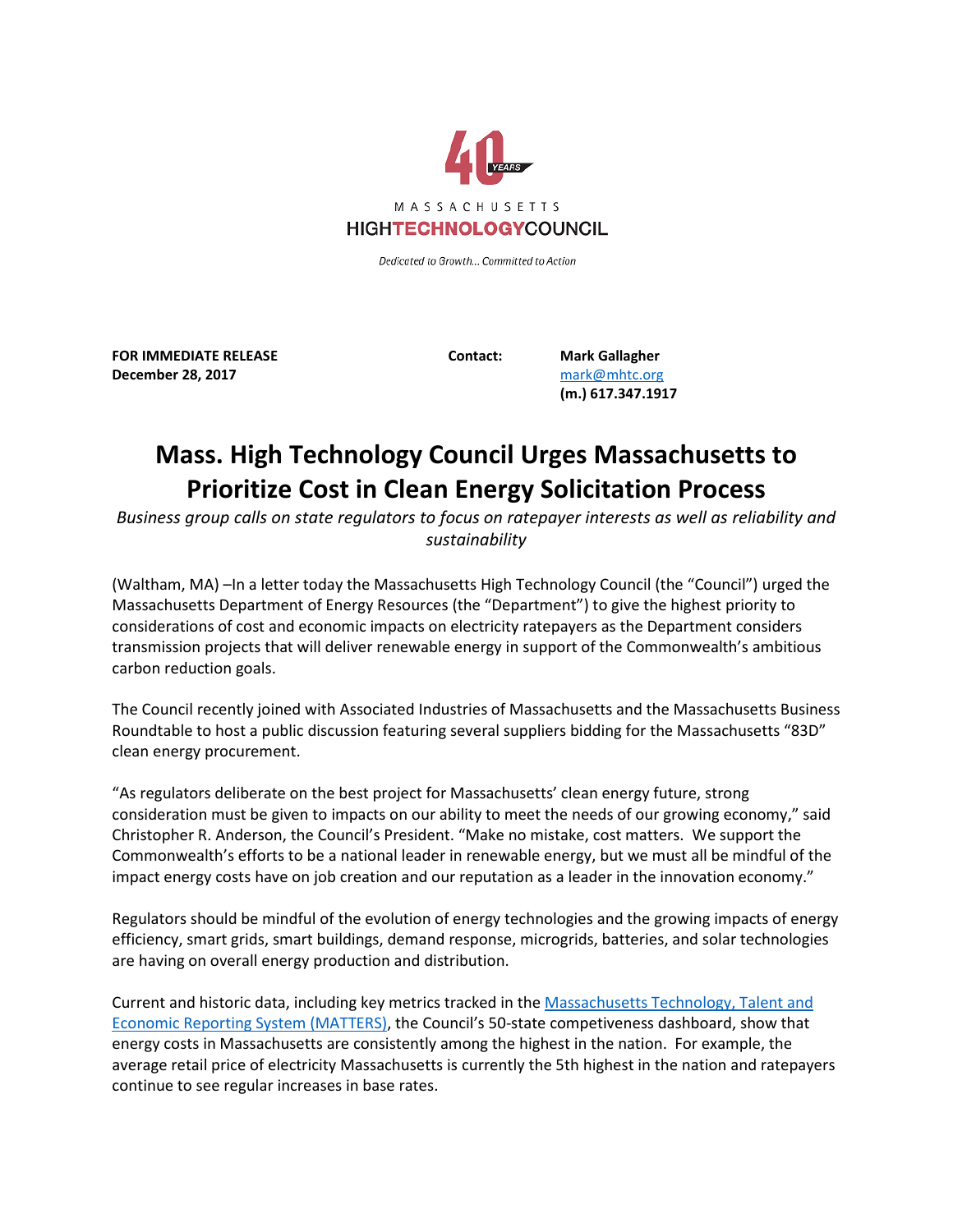

Dedicated to Growth... Committed to Action

**FOR IMMEDIATE RELEASE Contact: Mark Gallagher December 28, 2017** [mark@mhtc.org](mailto:mark@mhtc.org)

**(m.) 617.347.1917**

## **Mass. High Technology Council Urges Massachusetts to Prioritize Cost in Clean Energy Solicitation Process**

*Business group calls on state regulators to focus on ratepayer interests as well as reliability and sustainability*

(Waltham, MA) –In a letter today the Massachusetts High Technology Council (the "Council") urged the Massachusetts Department of Energy Resources (the "Department") to give the highest priority to considerations of cost and economic impacts on electricity ratepayers as the Department considers transmission projects that will deliver renewable energy in support of the Commonwealth's ambitious carbon reduction goals.

The Council recently joined with Associated Industries of Massachusetts and the Massachusetts Business Roundtable to host a public discussion featuring several suppliers bidding for the Massachusetts "83D" clean energy procurement.

"As regulators deliberate on the best project for Massachusetts' clean energy future, strong consideration must be given to impacts on our ability to meet the needs of our growing economy," said Christopher R. Anderson, the Council's President. "Make no mistake, cost matters. We support the Commonwealth's efforts to be a national leader in renewable energy, but we must all be mindful of the impact energy costs have on job creation and our reputation as a leader in the innovation economy."

Regulators should be mindful of the evolution of energy technologies and the growing impacts of energy efficiency, smart grids, smart buildings, demand response, microgrids, batteries, and solar technologies are having on overall energy production and distribution.

Current and historic data, including key metrics tracked in the [Massachusetts Technology, Talent and](http://matters.mhtc.org/resources/MATTERS_Executive_Competitiveness_Insight_Survey_Fall_2017.pdf)  [Economic Reporting System \(MATTERS\),](http://matters.mhtc.org/resources/MATTERS_Executive_Competitiveness_Insight_Survey_Fall_2017.pdf) the Council's 50-state competiveness dashboard, show that energy costs in Massachusetts are consistently among the highest in the nation. For example, the average retail price of electricity Massachusetts is currently the 5th highest in the nation and ratepayers continue to see regular increases in base rates.